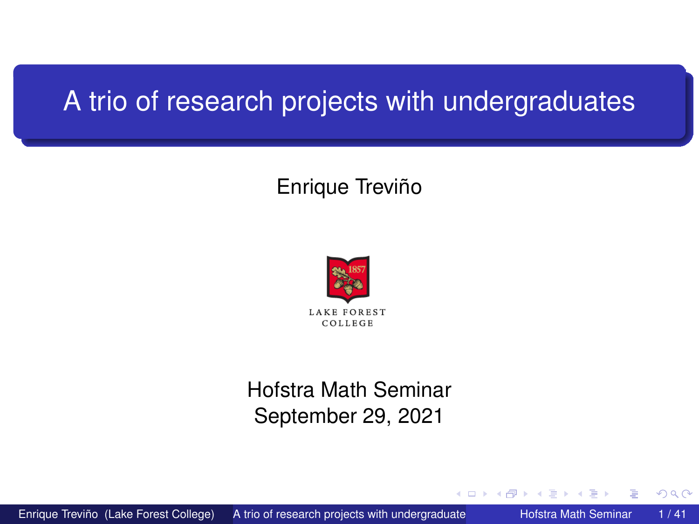### <span id="page-0-0"></span>A trio of research projects with undergraduates

### Enrique Treviño



#### Hofstra Math Seminar September 29, 2021

4.000.00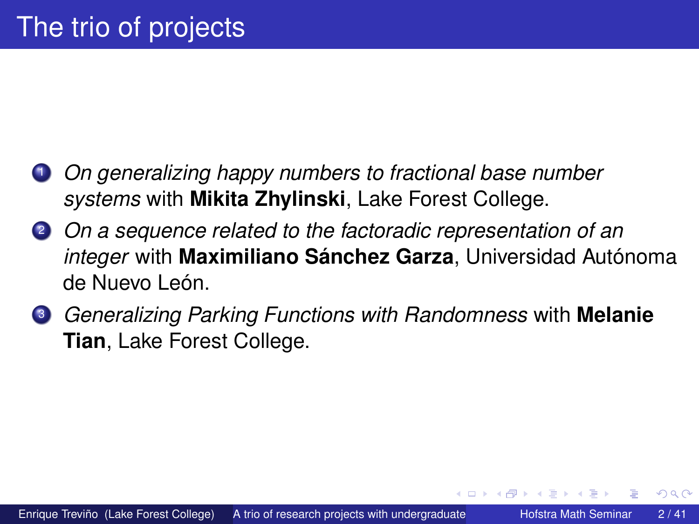- <sup>1</sup> *On generalizing happy numbers to fractional base number systems* with **Mikita Zhylinski**, Lake Forest College.
- <sup>2</sup> *On a sequence related to the factoradic representation of an integer* with **Maximiliano Sánchez Garza**, Universidad Autónoma de Nuevo León.
- <sup>3</sup> *Generalizing Parking Functions with Randomness* with **Melanie Tian**, Lake Forest College.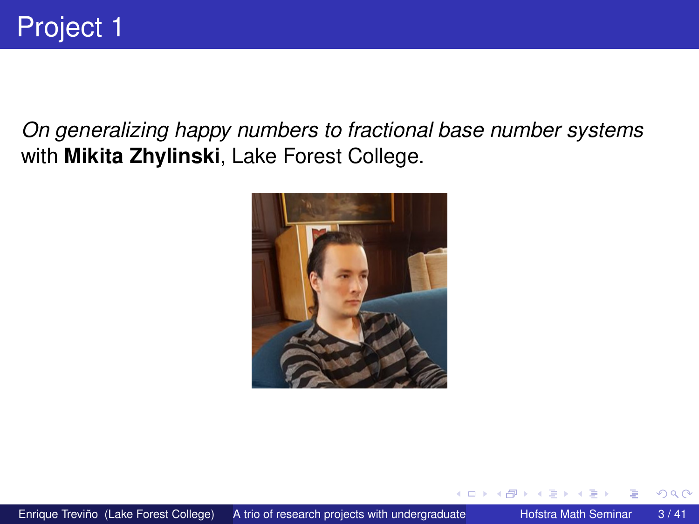*On generalizing happy numbers to fractional base number systems* with **Mikita Zhylinski**, Lake Forest College.



4.000.00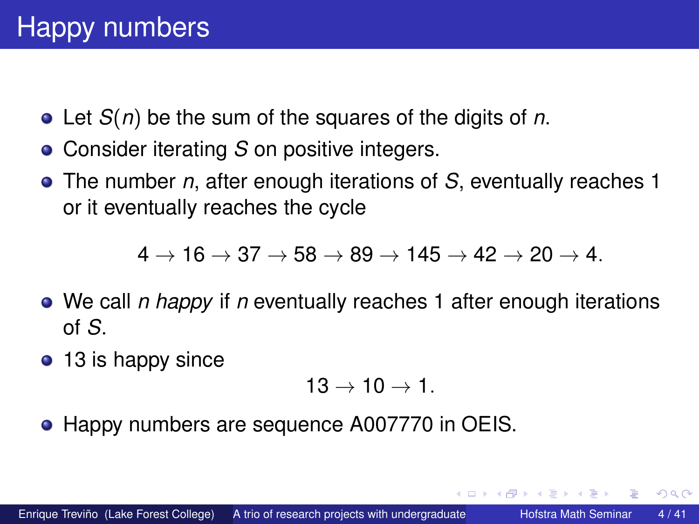- Let *S*(*n*) be the sum of the squares of the digits of *n*.
- Consider iterating *S* on positive integers.
- The number *n*, after enough iterations of *S*, eventually reaches 1 or it eventually reaches the cycle

 $4 \rightarrow 16 \rightarrow 37 \rightarrow 58 \rightarrow 89 \rightarrow 145 \rightarrow 42 \rightarrow 20 \rightarrow 4.$ 

- We call *n happy* if *n* eventually reaches 1 after enough iterations of *S*.
- 13 is happy since

$$
13\rightarrow 10\rightarrow 1.
$$

• Happy numbers are sequence A007770 in OEIS.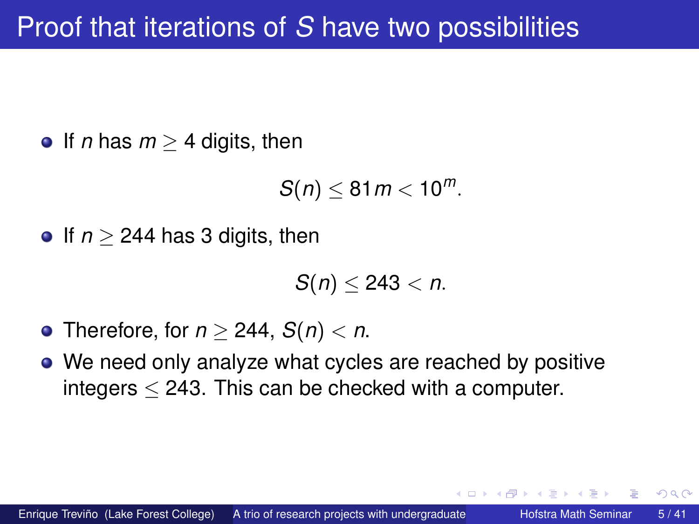**•** If *n* has  $m > 4$  digits, then

 $S(n) \leq 81m < 10^m$ .

**•** If  $n > 244$  has 3 digits, then

*S*(*n*) ≤ 243 < *n*.

- Therefore, for *n* ≥ 244, *S*(*n*) < *n*.
- We need only analyze what cycles are reached by positive integers  $<$  243. This can be checked with a computer.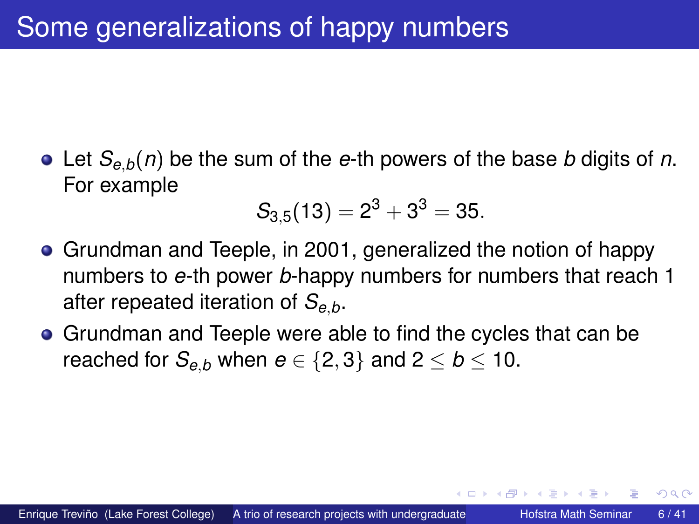Let *Se*,*b*(*n*) be the sum of the *e*-th powers of the base *b* digits of *n*. For example

$$
S_{3,5}(13)=2^3+3^3=35.\\
$$

- Grundman and Teeple, in 2001, generalized the notion of happy numbers to *e*-th power *b*-happy numbers for numbers that reach 1 after repeated iteration of *Se*,*b*.
- Grundman and Teeple were able to find the cycles that can be reached for  $S_{e,b}$  when  $e \in \{2,3\}$  and  $2 \leq b \leq 10$ .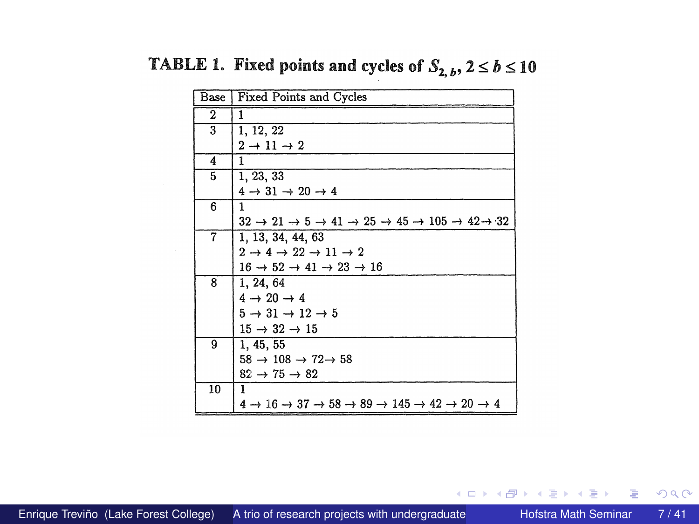| Base         | Fixed Points and Cycles                                                                                                      |
|--------------|------------------------------------------------------------------------------------------------------------------------------|
| $\mathbf{2}$ | 1                                                                                                                            |
| 3            | 1, 12, 22                                                                                                                    |
|              | $2 \rightarrow 11 \rightarrow 2$                                                                                             |
| 4            | 1                                                                                                                            |
| 5            | 1, 23, 33                                                                                                                    |
|              | $4 \rightarrow 31 \rightarrow 20 \rightarrow 4$                                                                              |
| 6            | 1                                                                                                                            |
|              | $32 \rightarrow 21 \rightarrow 5 \rightarrow 41 \rightarrow 25 \rightarrow 45 \rightarrow 105 \rightarrow 42 \rightarrow 32$ |
| 7            | 1, 13, 34, 44, 63                                                                                                            |
|              | $2 \rightarrow 4 \rightarrow 22 \rightarrow 11 \rightarrow 2$                                                                |
|              | $16 \rightarrow 52 \rightarrow 41 \rightarrow 23 \rightarrow 16$                                                             |
| 8            | 1, 24, 64                                                                                                                    |
|              | $4 \rightarrow 20 \rightarrow 4$                                                                                             |
|              | $5 \rightarrow 31 \rightarrow 12 \rightarrow 5$                                                                              |
|              | $15 \rightarrow 32 \rightarrow 15$                                                                                           |
| 9            | 1, 45, 55                                                                                                                    |
|              | $58 \rightarrow 108 \rightarrow 72 \rightarrow 58$                                                                           |
|              | $82 \rightarrow 75 \rightarrow 82$                                                                                           |
| 10           | 1                                                                                                                            |
|              | $4 \rightarrow 16 \rightarrow 37 \rightarrow 58 \rightarrow 89 \rightarrow 145 \rightarrow 42 \rightarrow 20 \rightarrow 4$  |

TABLE 1. Fixed points and cycles of  $S_{2, b}$ ,  $2 \le b \le 10$ 

**K ロ ト K 倒 ト K 走 ト** 

重

 $299$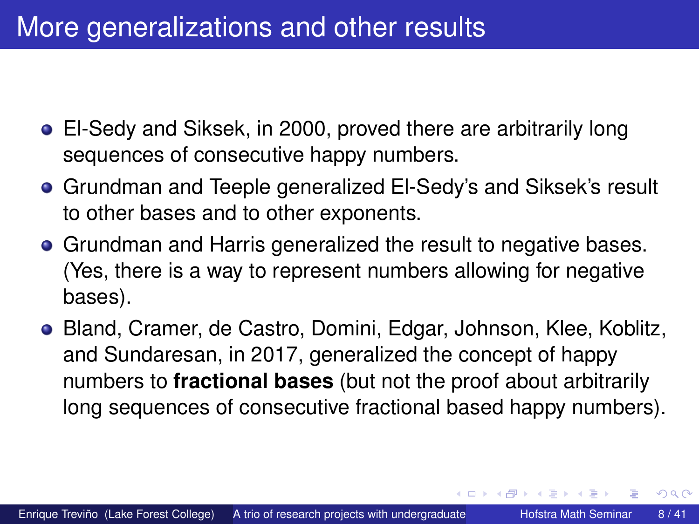## <span id="page-7-0"></span>More generalizations and other results

- El-Sedy and Siksek, in 2000, proved there are arbitrarily long sequences of consecutive happy numbers.
- Grundman and Teeple generalized El-Sedy's and Siksek's result to other bases and to other exponents.
- **Grundman and Harris generalized the result to negative bases.** (Yes, there is a way to represent numbers allowing for negative bases).
- Bland, Cramer, de Castro, Domini, Edgar, Johnson, Klee, Koblitz, and Sundaresan, in 2017, generalized the concept of happy numbers to **fractional bases** (but not the proof about arbitrarily long sequences of consecutive fractional based happy numbers).

イロト イ押ト イヨト イヨ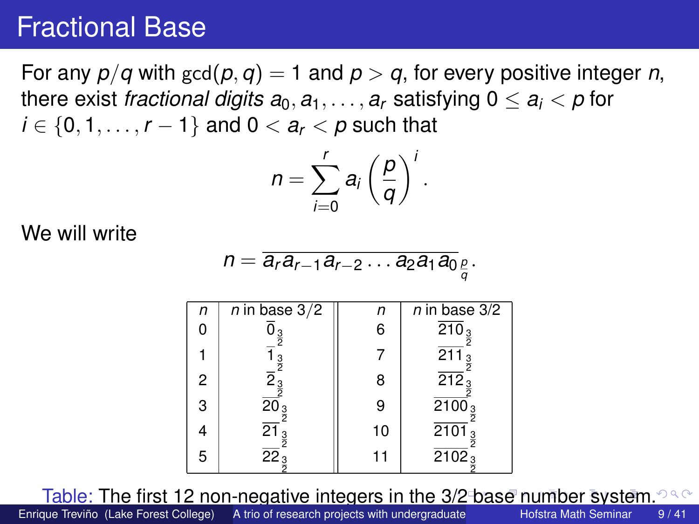### <span id="page-8-0"></span>Fractional Base

For any  $p/q$  with  $gcd(p, q) = 1$  and  $p > q$ , for every positive integer *n*, there exist *fractional digits*  $a_0, a_1, \ldots, a_r$  satisfying  $0 \le a_i < p$  for *i* ∈ {0, 1, . . . , *r* − 1} and 0 <  $a_r$  < *p* such that

$$
n=\sum_{i=0}^r a_i\left(\frac{p}{q}\right)^i.
$$

We will write

$$
n=\overline{a_r a_{r-1} a_{r-2} \dots a_2 a_1 a_0}_{\frac{p}{q}}.
$$

| n | n in base 3/2                 | n  | n in base 3/2                   |
|---|-------------------------------|----|---------------------------------|
| 0 | $\overline{0}_{\frac{3}{2}}$  | 6  | $\overline{210}_{\frac{3}{2}}$  |
| 1 | $\overline{1}_{\frac{3}{2}}$  | 7  | $\overline{211}_{\frac{3}{2}}$  |
| 2 | $\overline{2}_{\frac{3}{2}}$  | 8  | $\overline{212}_{\frac{3}{2}}$  |
| 3 | $\overline{20}_{\frac{3}{2}}$ | 9  | $\overline{2100}_{\frac{3}{2}}$ |
| 4 | $\overline{21}_{\frac{3}{2}}$ | 10 | $\overline{2101}_{\frac{3}{2}}$ |
| 5 | $\overline{22}_{\frac{3}{2}}$ | 11 | $\overline{2102}_{\frac{3}{2}}$ |

Table: The first 12 non-negative integers in the [3/2](#page-7-0) [ba](#page-9-0)[s](#page-7-0)[e](#page-8-0) [n](#page-9-0)[um](#page-0-0)[b](#page-40-0)[er](#page-0-0) [sy](#page-40-0)[ste](#page-0-0)[m.](#page-40-0)  $\Omega$ 

Enrique Treviño (Lake Forest College) A trio of research projects with undergraduate Hofstra Math Seminar 9/41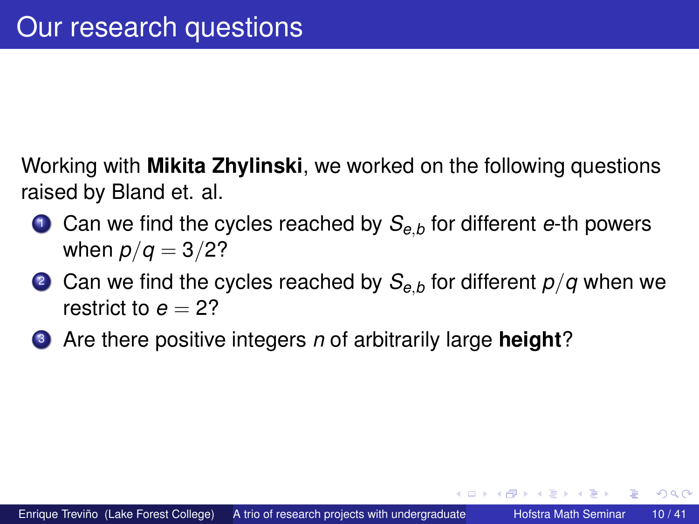<span id="page-9-0"></span>Working with **Mikita Zhylinski**, we worked on the following questions raised by Bland et. al.

- <sup>1</sup> Can we find the cycles reached by *Se*,*<sup>b</sup>* for different *e*-th powers when  $p/q = 3/2?$
- <sup>2</sup> Can we find the cycles reached by *Se*,*<sup>b</sup>* for different *p*/*q* when we restrict to  $e = 2$ ?
- <sup>3</sup> Are there positive integers *n* of arbitrarily large **height**?

4 ロ ト ィ *同* ト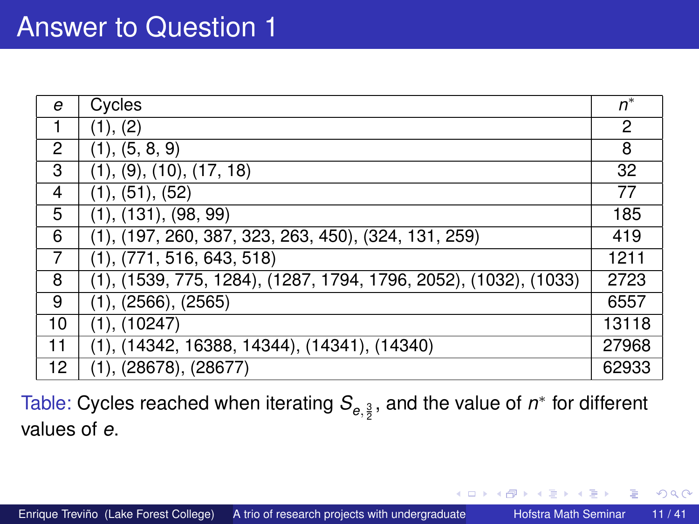### <span id="page-10-0"></span>Answer to Question 1

| e  | Cycles                                                           | $n^*$ |
|----|------------------------------------------------------------------|-------|
| 1  | (1), (2)                                                         | 2     |
| 2  | (1), (5, 8, 9)                                                   | 8     |
| 3  | (1), (9), (10), (17, 18)                                         | 32    |
| 4  | (1), (51), (52)                                                  | 77    |
| 5  | (1), (131), (98, 99)                                             | 185   |
| 6  | $(1), (197, 260, 387, 323, 263, 450), (324, 131, 259)$           | 419   |
| 7  | (1), (771, 516, 643, 518)                                        | 1211  |
| 8  | (1), (1539, 775, 1284), (1287, 1794, 1796, 2052), (1032), (1033) | 2723  |
| 9  | (1), (2566), (2565)                                              | 6557  |
| 10 | (1), (10247)                                                     | 13118 |
| 11 | $(1), (14342, 16388, 14344), (14341), (14340)$                   | 27968 |
| 12 | (1), (28678), (28677)                                            | 62933 |

Table: Cycles reached when iterating  $\mathcal{S}_{e,\frac{3}{2}}$ , and the value of  $n^*$  for different values of *e*.

4 ロ ト ィ *同* ト

医单侧 医单

Þ

 $299$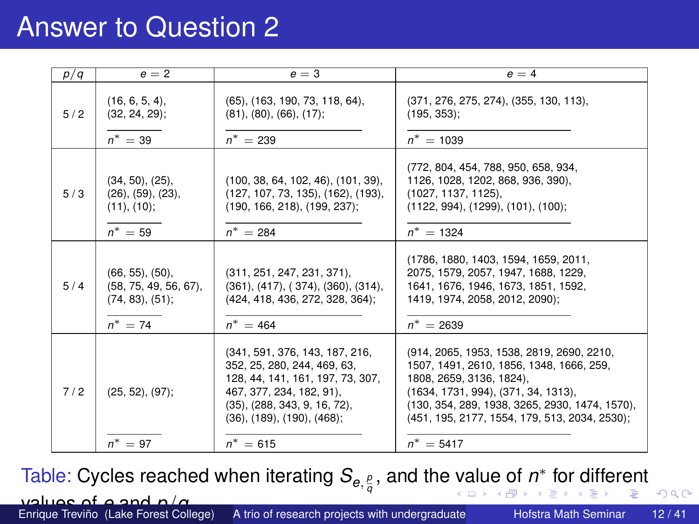### <span id="page-11-0"></span>Answer to Question 2

| p/q | $e = 2$                                                                            | $e = 3$                                                                                                                                                                                                       | $e = 4$                                                                                                                                                                                                                                                     |
|-----|------------------------------------------------------------------------------------|---------------------------------------------------------------------------------------------------------------------------------------------------------------------------------------------------------------|-------------------------------------------------------------------------------------------------------------------------------------------------------------------------------------------------------------------------------------------------------------|
| 5/2 | $(16, 6, 5, 4)$ ,<br>$(32, 24, 29)$ ;<br>$n^* = 39$                                | (65), (163, 190, 73, 118, 64),<br>(81), (80), (66), (17);<br>$n^* = 239$                                                                                                                                      | (371, 276, 275, 274), (355, 130, 113),<br>$(195, 353)$ ;<br>$n^* = 1039$                                                                                                                                                                                    |
| 5/3 | (34, 50), (25),<br>(26), (59), (23),<br>(11), (10);<br>$n^* = 59$                  | (100, 38, 64, 102, 46), (101, 39),<br>(127, 107, 73, 135), (162), (193),<br>(190, 166, 218), (199, 237);<br>$n^* = 284$                                                                                       | (772, 804, 454, 788, 950, 658, 934,<br>1126, 1028, 1202, 868, 936, 390),<br>(1027, 1137, 1125),<br>(1122, 994), (1299), (101), (100);<br>$n^* = 1324$                                                                                                       |
| 5/4 | $(66, 55)$ , $(50)$ ,<br>$(58, 75, 49, 56, 67)$ ,<br>(74, 83), (51);<br>$n^* = 74$ | (311, 251, 247, 231, 371),<br>$(361)$ , $(417)$ , $(374)$ , $(360)$ , $(314)$ ,<br>(424, 418, 436, 272, 328, 364);<br>$n^* = 464$                                                                             | (1786, 1880, 1403, 1594, 1659, 2011,<br>2075, 1579, 2057, 1947, 1688, 1229,<br>1641, 1676, 1946, 1673, 1851, 1592,<br>1419, 1974, 2058, 2012, 2090);<br>$n^* = 2639$                                                                                        |
| 7/2 | $(25, 52), (97)$ ;                                                                 | (341, 591, 376, 143, 187, 216,<br>352, 25, 280, 244, 469, 63,<br>128, 44, 141, 161, 197, 73, 307,<br>467, 377, 234, 182, 91),<br>$(35)$ , $(288, 343, 9, 16, 72)$ ,<br>$(36)$ , $(189)$ , $(190)$ , $(468)$ ; | (914, 2065, 1953, 1538, 2819, 2690, 2210,<br>1507. 1491. 2610. 1856. 1348. 1666. 259.<br>1808, 2659, 3136, 1824),<br>(1634, 1731, 994), (371, 34, 1313),<br>(130, 354, 289, 1938, 3265, 2930, 1474, 1570),<br>(451, 195, 2177, 1554, 179, 513, 2034, 2530); |
|     | $n^* = 97$                                                                         | $n^* = 615$                                                                                                                                                                                                   | $n^* = 5417$                                                                                                                                                                                                                                                |

Tabl[e](#page-10-0): Cycles reached whe[n](#page-0-0) iterating  $\mathcal{S}_{e, \frac{\rho}{q}}$ , and the [va](#page-10-0)[lu](#page-12-0)e [of](#page-11-0)  $n^*$  [for](#page-40-0) [di](#page-0-0)[ffe](#page-40-0)[re](#page-0-0)[nt](#page-40-0)  $2990$ 

| values of a and $n/a$                 |
|---------------------------------------|
| Enrique Treviño (Lake Forest College) |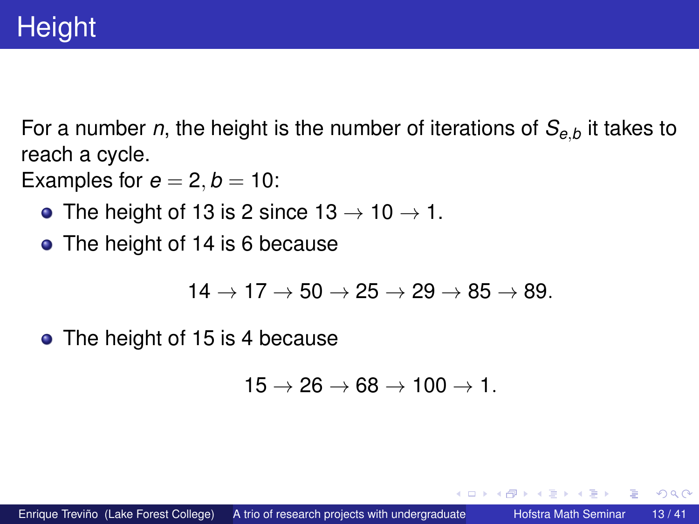<span id="page-12-0"></span>For a number *n*, the height is the number of iterations of *Se*,*<sup>b</sup>* it takes to reach a cycle.

Examples for  $e = 2, b = 10$ :

- The height of 13 is 2 since  $13 \rightarrow 10 \rightarrow 1$ .
- The height of 14 is 6 because

$$
14 \rightarrow 17 \rightarrow 50 \rightarrow 25 \rightarrow 29 \rightarrow 85 \rightarrow 89.
$$

• The height of 15 is 4 because

$$
15\rightarrow 26\rightarrow 68\rightarrow 100\rightarrow 1.
$$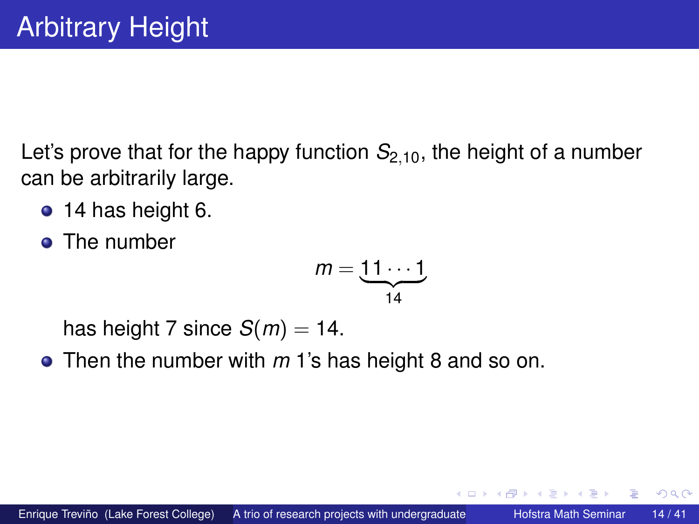Let's prove that for the happy function  $S_{2,10}$ , the height of a number can be arbitrarily large.

- 14 has height 6.
- **o** The number

$$
m=\underbrace{11\cdots 1}_{14}
$$

has height 7 since  $S(m) = 14$ .

Then the number with *m* 1's has height 8 and so on.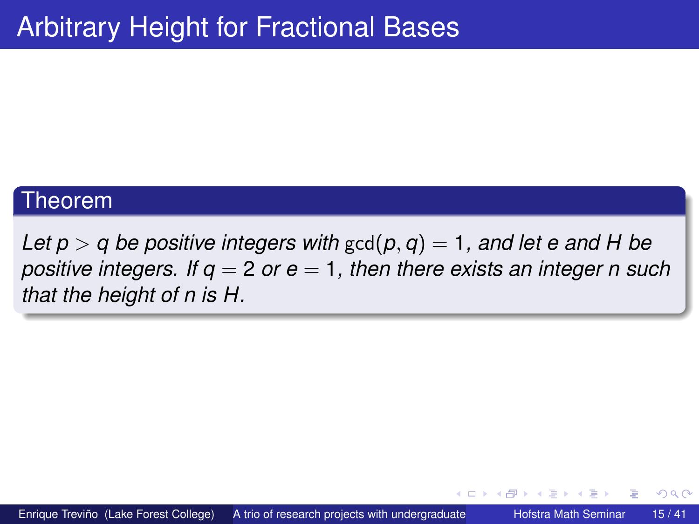#### Theorem

*Let*  $p > q$  *be positive integers with*  $gcd(p, q) = 1$ , and let e and H be *positive integers. If q* = 2 *or e* = 1*, then there exists an integer n such that the height of n is H.*

(□ ) ( )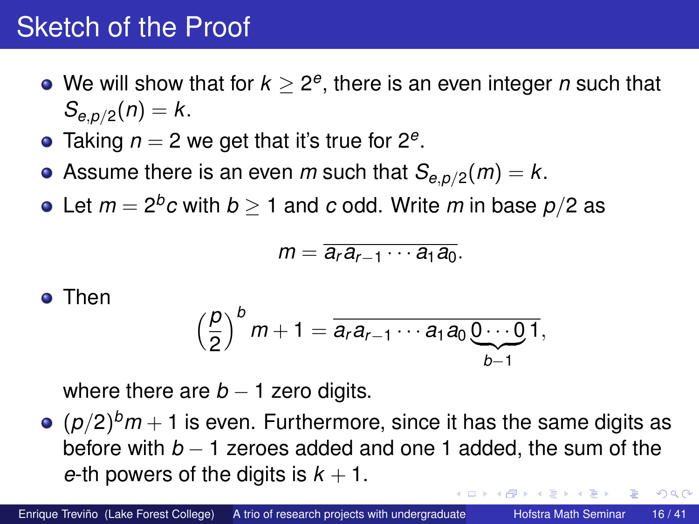## Sketch of the Proof

- We will show that for  $k \geq 2^e,$  there is an even integer  $n$  such that  $S_{e, p/2}(n) = k$ .
- Taking *n* = 2 we get that it's true for 2*<sup>e</sup>* .
- Assume there is an even *m* such that  $\mathcal{S}_{e,p/2}(m)=k.$
- Let  $m=2^b c$  with  $b\geq 1$  and  $c$  odd. Write  $m$  in base  $p/2$  as

$$
m=\overline{a_ra_{r-1}\cdots a_1a_0}.
$$

#### **o** Then

$$
\left(\frac{p}{2}\right)^{b}m+1=\overline{a_ra_{r-1}\cdots a_1a_0\underbrace{0\cdots 0}_{b-1}},
$$

where there are  $b - 1$  zero digits.

 $(p/2)^{b}m+1$  is even. Furthermore, since it has the same digits as before with *b* − 1 zeroes added and one 1 added, the sum of the *e*-th powers of the digits is  $k + 1$ .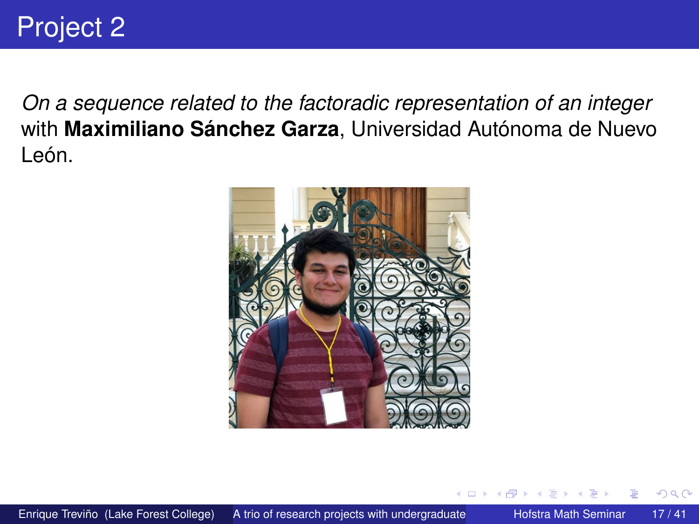*On a sequence related to the factoradic representation of an integer* with **Maximiliano Sánchez Garza**, Universidad Autónoma de Nuevo León.

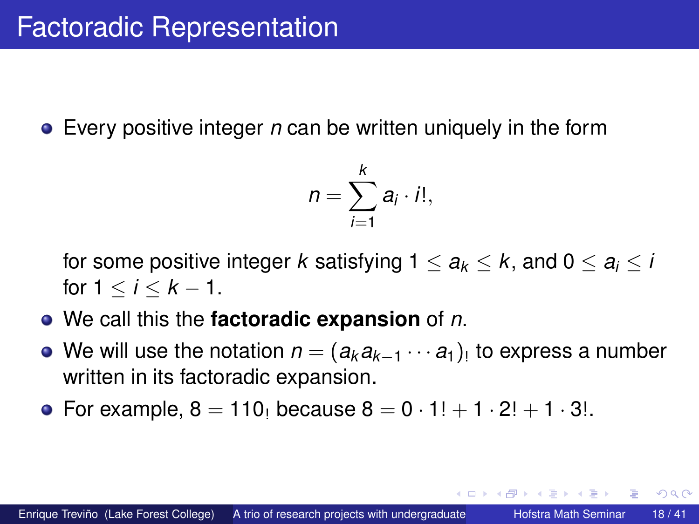Every positive integer *n* can be written uniquely in the form

$$
n=\sum_{i=1}^k a_i\cdot i!,
$$

for some positive integer *k* satisfying  $1 \le a_k \le k$ , and  $0 \le a_i \le i$ for  $1 \le i \le k - 1$ .

- We call this the **factoradic expansion** of *n*.
- We will use the notation  $n = (a_k a_{k-1} \cdots a_1)_!$  to express a number written in its factoradic expansion.
- For example,  $8 = 110$  because  $8 = 0 \cdot 1! + 1 \cdot 2! + 1 \cdot 3!$ .

( ロ ) ( *同* ) ( ヨ ) ( ヨ )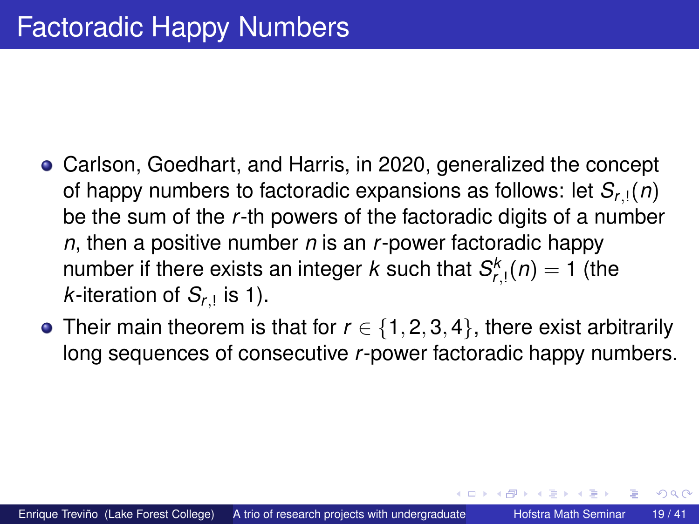- Carlson, Goedhart, and Harris, in 2020, generalized the concept of happy numbers to factoradic expansions as follows: let  $S_{r}$ <sub>1</sub> $(n)$ be the sum of the *r*-th powers of the factoradic digits of a number *n*, then a positive number *n* is an *r*-power factoradic happy number if there exists an integer  $k$  such that  $S_{r, !}^{k}(n) = 1$  (the  $k$ -iteration of  $S_{r,1}$  is 1).
- Their main theorem is that for  $r \in \{1, 2, 3, 4\}$ , there exist arbitrarily long sequences of consecutive *r*-power factoradic happy numbers.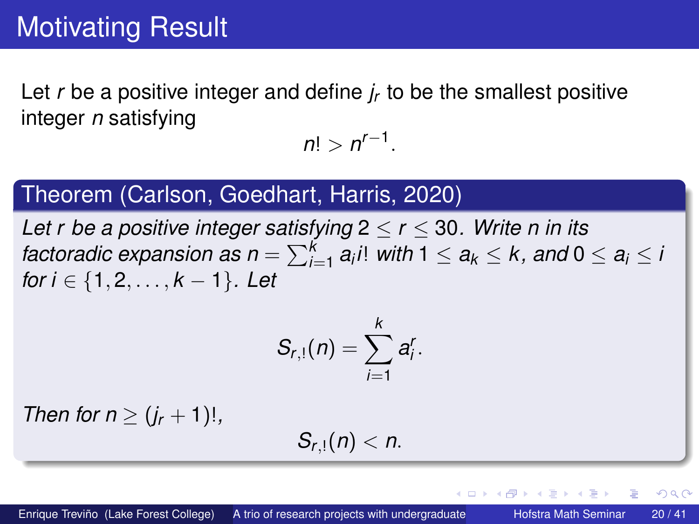Let *r* be a positive integer and define *j<sup>r</sup>* to be the smallest positive integer *n* satisfying

 $n! > n^{r-1}.$ 

### Theorem (Carlson, Goedhart, Harris, 2020)

*Let r be a positive integer satisfying*  $2 \le r \le 30$ *. Write n in its factoradic expansion as n* =  $\sum_{i=1}^k a_i$ *i*! *with* 1  $\le a_k \le k$ , and 0  $\le a_i \le k$ *for i* ∈ {1, 2, . . . , *k* − 1}*.* Let

$$
S_{r,1}(n)=\sum_{i=1}^k a_i^r.
$$

*Then for n*  $\geq (j_r + 1)!$ ,

$$
S_{r,1}(n)
$$

The South

4 D > 4 O +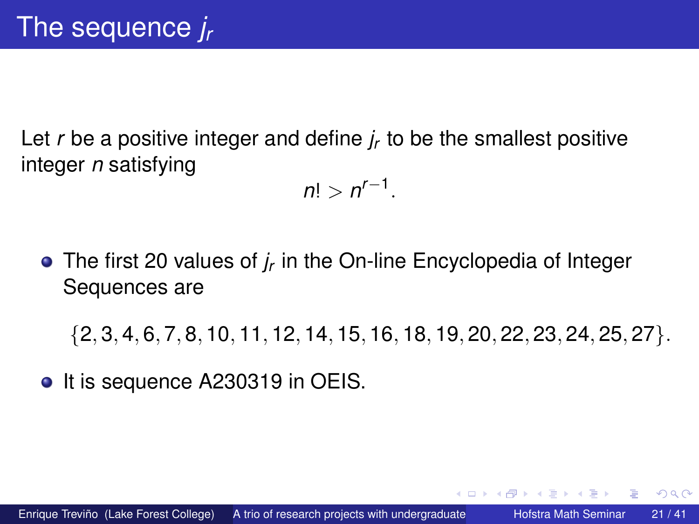Let *r* be a positive integer and define *j<sup>r</sup>* to be the smallest positive integer *n* satisfying

 $n! > n^{r-1}.$ 

The first 20 values of *j<sup>r</sup>* in the On-line Encyclopedia of Integer Sequences are

{2, 3, 4, 6, 7, 8, 10, 11, 12, 14, 15, 16, 18, 19, 20, 22, 23, 24, 25, 27}.

• It is sequence A230319 in OEIS.

4 ロ ト ィ *同* ト

. . . . . . .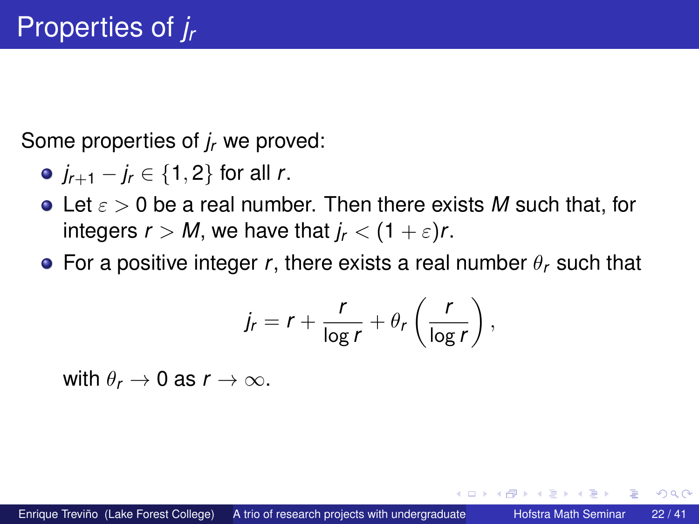Some properties of *j<sup>r</sup>* we proved:

- *jr*+<sup>1</sup> − *j<sup>r</sup>* ∈ {1, 2} for all *r*.
- Let ε > 0 be a real number. Then there exists *M* such that, for integers  $r > M$ , we have that  $j_r < (1 + \varepsilon)r$ .
- **•** For a positive integer *r*, there exists a real number  $\theta_r$  such that

$$
j_r = r + \frac{r}{\log r} + \theta_r \left( \frac{r}{\log r} \right),
$$

with  $\theta_r \to 0$  as  $r \to \infty$ .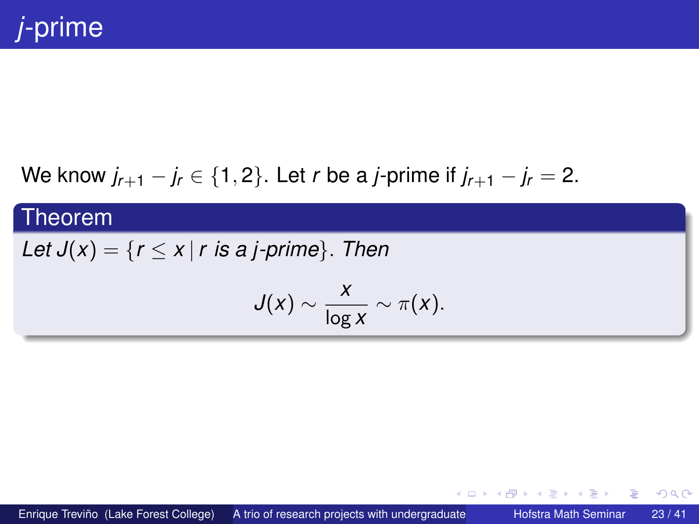### We know  $j_{r+1} - j_r \in \{1, 2\}$ . Let *r* be a *j*-prime if  $j_{r+1} - j_r = 2$ .

#### Theorem

### *Let*  $J(x) = \{r \le x \mid r \text{ is a } j\text{-prime}\}$ . *Then*

$$
J(x) \sim \frac{x}{\log x} \sim \pi(x).
$$

イロト イ押 トイラト イラト

в

 $298$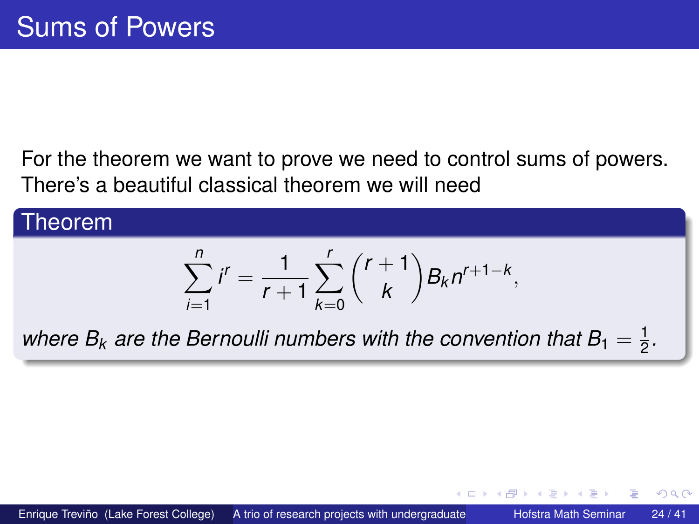For the theorem we want to prove we need to control sums of powers. There's a beautiful classical theorem we will need

#### Theorem  $\sum_{n=1}^{n}$ *i*=1  $i^r = \frac{1}{r}$ *r* + 1  $\sum^r$ *k*=0  $(r + 1)$ *k*  $\bigg\} B_k n^{r+1-k},$ where  $B_k$  are the Bernoulli numbers with the convention that  $B_1=\frac{1}{2}$  $\frac{1}{2}$ .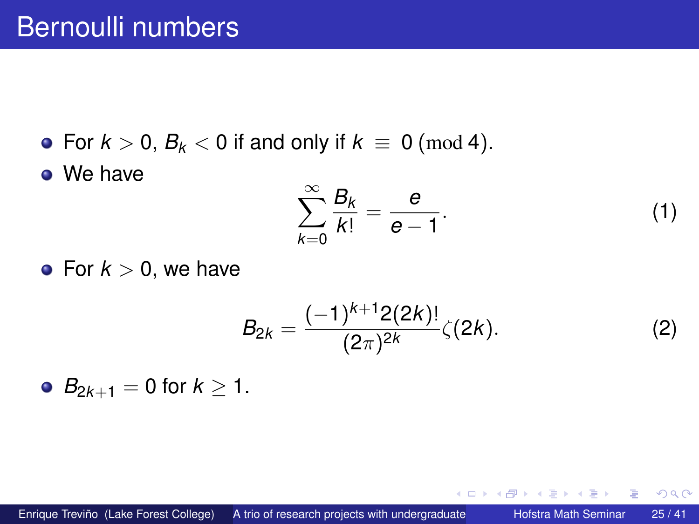• For  $k > 0$ ,  $B_k < 0$  if and only if  $k \equiv 0 \pmod{4}$ .

• We have

$$
\sum_{k=0}^{\infty} \frac{B_k}{k!} = \frac{e}{e-1}.
$$
 (1)

4 ロ ト ィ *同* ト

Þ

3 E X 3 E

 $299$ 

• For  $k > 0$ , we have

$$
B_{2k} = \frac{(-1)^{k+1} 2(2k)!}{(2\pi)^{2k}} \zeta(2k). \tag{2}
$$

•  $B_{2k+1} = 0$  for  $k \ge 1$ .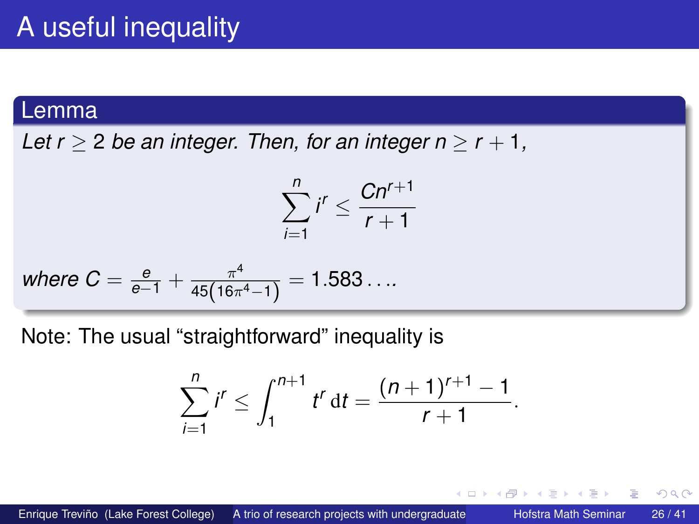#### Lemma

*Let r* > 2 *be an integer. Then, for an integer n* >  $r + 1$ ,

$$
\sum_{i=1}^n i^r \leq \frac{Cn^{r+1}}{r+1}
$$

where 
$$
C = \frac{e}{e-1} + \frac{\pi^4}{45(16\pi^4 - 1)} = 1.583...
$$

Note: The usual "straightforward" inequality is

$$
\sum_{i=1}^n i^r \leq \int_1^{n+1} t^r dt = \frac{(n+1)^{r+1}-1}{r+1}.
$$

4 ロ ト ィ *同* ト

Þ

ミャイミ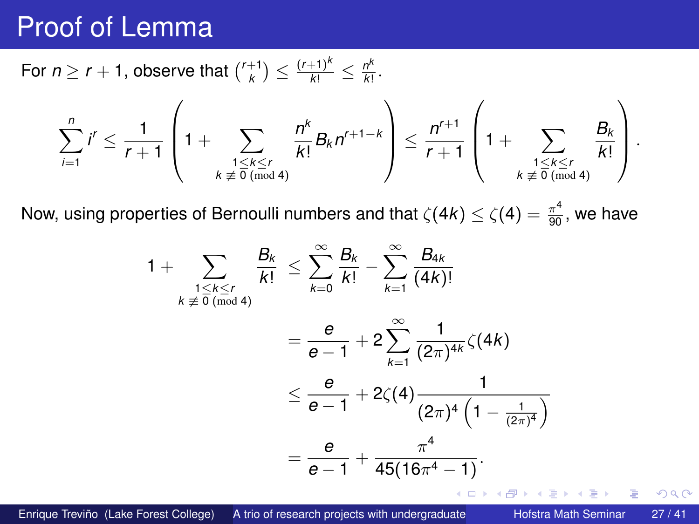### Proof of Lemma

For  $n \geq r + 1$ , observe that  $\binom{r+1}{k} \leq \frac{(r+1)^k}{k!} \leq \frac{n^k}{k!}$  $\frac{r}{k!}$ .

$$
\sum_{i=1}^n i^r \leq \frac{1}{r+1}\left(1+\sum_{\substack{1\leq k\leq r\\ k\not\equiv 0\,(\text{mod}\,4)}}\frac{n^k}{k!}B_kn^{r+1-k}\right)\leq \frac{n^{r+1}}{r+1}\left(1+\sum_{\substack{1\leq k\leq r\\ k\not\equiv 0\,(\text{mod}\,4)}}\frac{B_k}{k!}\right).
$$

Now, using properties of Bernoulli numbers and that  $\zeta(4k)\leq \zeta(4)=\frac{\pi^4}{90},$  we have

$$
1 + \sum_{\substack{1 \le k \le r \\ k \neq 0 \pmod{4}}} \frac{B_k}{k!} \le \sum_{k=0}^{\infty} \frac{B_k}{k!} - \sum_{k=1}^{\infty} \frac{B_{4k}}{(4k)!}
$$
  
=  $\frac{e}{e-1} + 2 \sum_{k=1}^{\infty} \frac{1}{(2\pi)^{4k}} \zeta(4k)$   
 $\le \frac{e}{e-1} + 2\zeta(4) \frac{1}{(2\pi)^4 \left(1 - \frac{1}{(2\pi)^4}\right)}$   
=  $\frac{e}{e-1} + \frac{\pi^4}{45(16\pi^4 - 1)}.$ 

Enrique Treviño (Lake Forest College) A trio of research projects with undergraduate Hofstra Math Seminar 27/41

Þ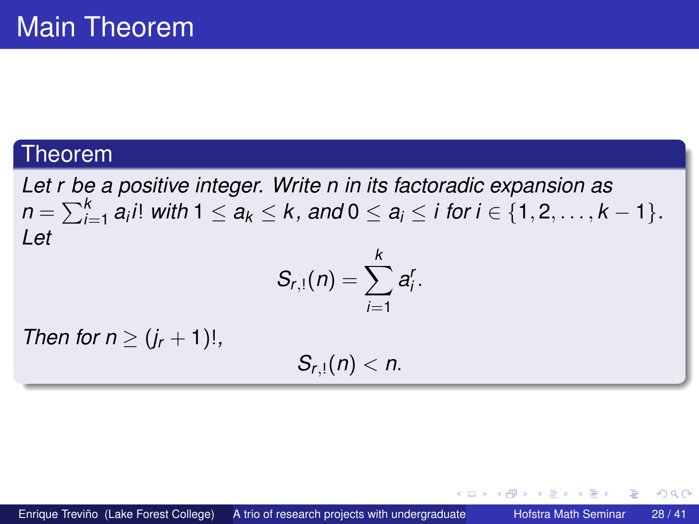#### Theorem

*Let r be a positive integer. Write n in its factoradic expansion as*  $n = \sum_{i=1}^k a_i i!$  *with*  $1 \le a_k \le k$ , and  $0 \le a_i \le i$  for  $i \in \{1,2,\ldots,k-1\}$ . *Let k*

$$
S_{r,1}(n)=\sum_{i=1}^n a_i^r.
$$

*Then for n*  $\geq (i_r + 1)!$ ,

 $S_{r,1}(n) < n$ .

 $\Omega$ 

**The State**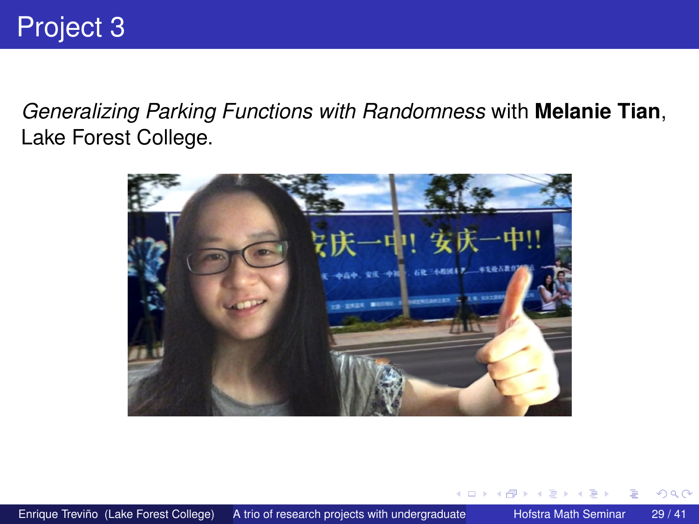*Generalizing Parking Functions with Randomness* with **Melanie Tian**, Lake Forest College.



4 0 8

 $\leftarrow$   $\leftarrow$   $\leftarrow$ 

**B** K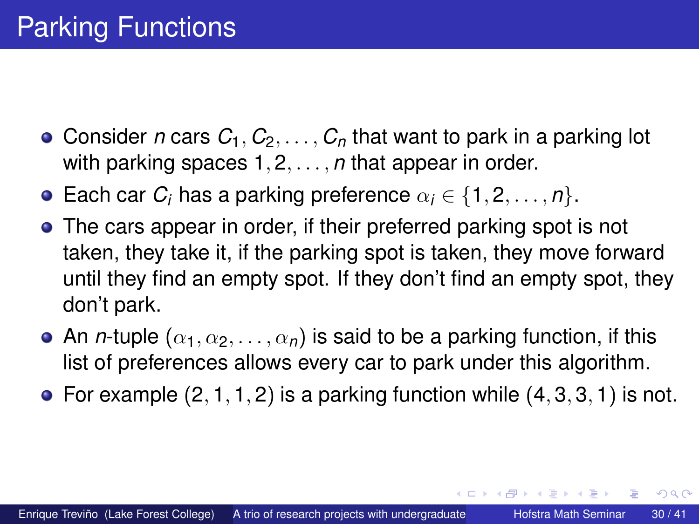- Consider *n* cars  $C_1, C_2, \ldots, C_n$  that want to park in a parking lot with parking spaces 1, 2, . . . , *n* that appear in order.
- **Each car** *C<sub>i</sub>* **has a parking preference**  $\alpha_i \in \{1, 2, \ldots, n\}$ .
- The cars appear in order, if their preferred parking spot is not taken, they take it, if the parking spot is taken, they move forward until they find an empty spot. If they don't find an empty spot, they don't park.
- An *n*-tuple  $(\alpha_1, \alpha_2, \ldots, \alpha_n)$  is said to be a parking function, if this list of preferences allows every car to park under this algorithm.
- For example  $(2, 1, 1, 2)$  is a parking function while  $(4, 3, 3, 1)$  is not.

イロト イ押ト イヨト イヨト ニヨ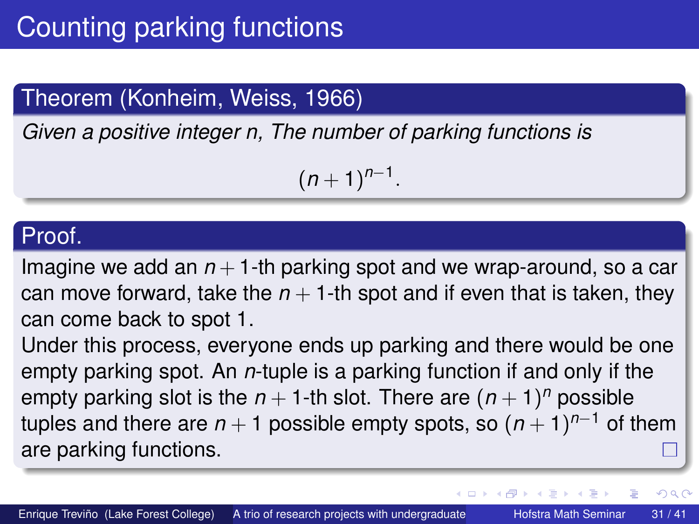### Theorem (Konheim, Weiss, 1966)

*Given a positive integer n, The number of parking functions is*

 $(n+1)^{n-1}$ .

#### Proof.

Imagine we add an  $n+1$ -th parking spot and we wrap-around, so a car can move forward, take the  $n + 1$ -th spot and if even that is taken, they can come back to spot 1.

Under this process, everyone ends up parking and there would be one empty parking spot. An *n*-tuple is a parking function if and only if the empty parking slot is the  $n+1$ -th slot. There are  $(n+1)^n$  possible tuples and there are *n* + 1 possible empty spots, so (*n* + 1) *<sup>n</sup>*−<sup>1</sup> of them are parking functions.

イロト イ押ト イヨト イヨト

∍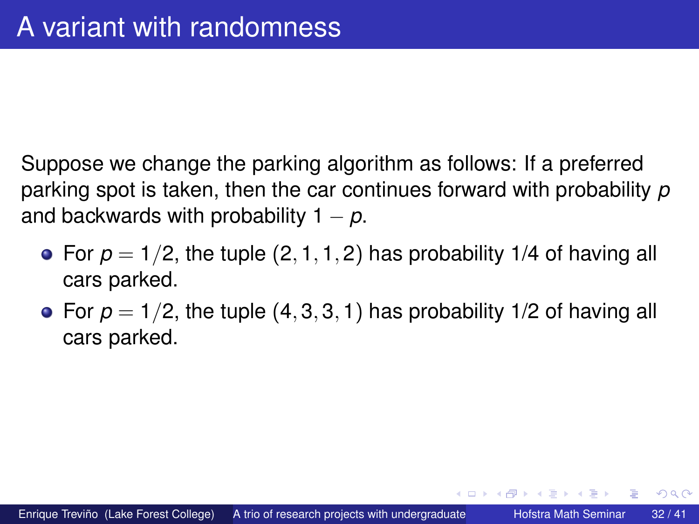Suppose we change the parking algorithm as follows: If a preferred parking spot is taken, then the car continues forward with probability *p* and backwards with probability  $1 - p$ .

- For  $p = 1/2$ , the tuple  $(2, 1, 1, 2)$  has probability 1/4 of having all cars parked.
- For  $p = 1/2$ , the tuple  $(4, 3, 3, 1)$  has probability 1/2 of having all cars parked.

 $\leftarrow$   $\Box$   $\rightarrow$   $\leftarrow$   $\Box$   $\rightarrow$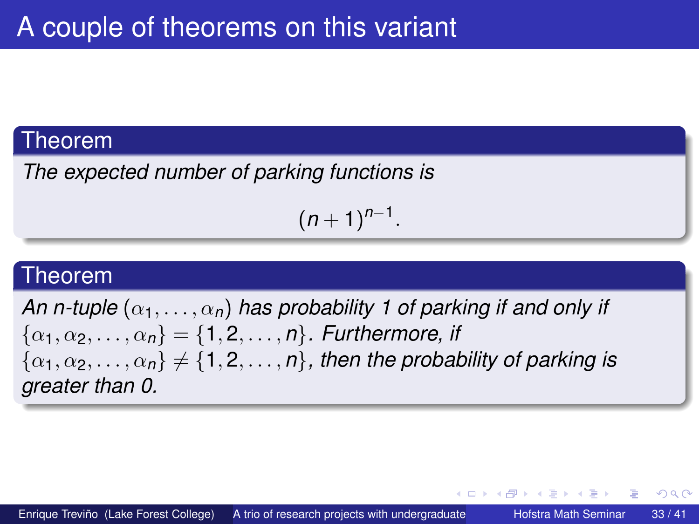#### Theorem

*The expected number of parking functions is*

 $(n+1)^{n-1}$ .

#### Theorem

*An n-tuple*  $(\alpha_1, \ldots, \alpha_n)$  *has probability 1 of parking if and only if*  $\{\alpha_1, \alpha_2, \ldots, \alpha_n\} = \{1, 2, \ldots, n\}$ . Furthermore, if  $\{\alpha_1, \alpha_2, \ldots, \alpha_n\} \neq \{1, 2, \ldots, n\}$ , then the probability of parking is *greater than 0.*

イロト イ押ト イヨト イヨト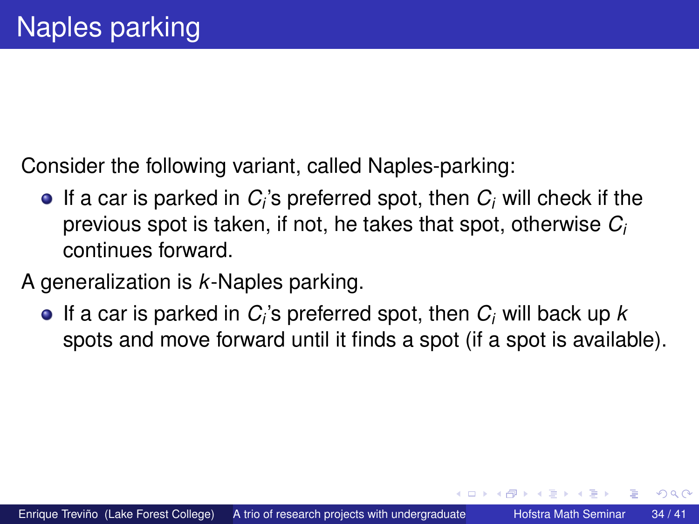Consider the following variant, called Naples-parking:

- If a car is parked in  $C_i$ 's preferred spot, then  $C_i$  will check if the previous spot is taken, if not, he takes that spot, otherwise *C<sup>i</sup>* continues forward.
- A generalization is *k*-Naples parking.
	- If a car is parked in *C<sup>i</sup>* 's preferred spot, then *C<sup>i</sup>* will back up *k* spots and move forward until it finds a spot (if a spot is available).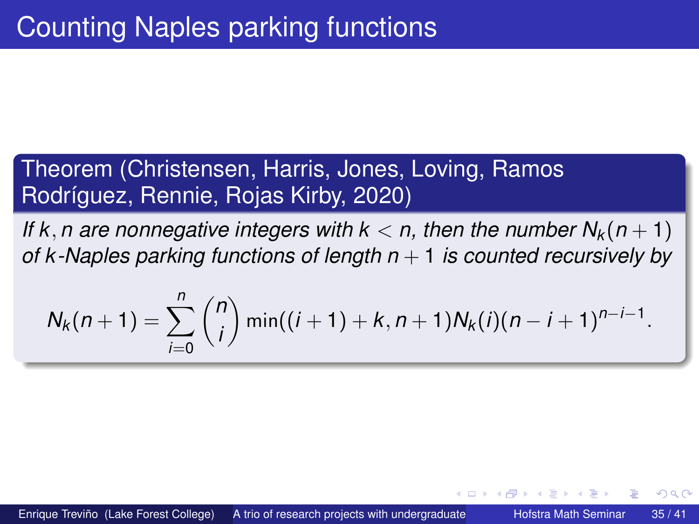### Theorem (Christensen, Harris, Jones, Loving, Ramos Rodríguez, Rennie, Rojas Kirby, 2020)

*If* k, *n* are nonnegative integers with  $k < n$ , then the number  $N_k(n + 1)$ *of k -Naples parking functions of length n* + 1 *is counted recursively by*

$$
N_k(n+1) = \sum_{i=0}^n \binom{n}{i} \min((i+1)+k, n+1)N_k(i)(n-i+1)^{n-i-1}.
$$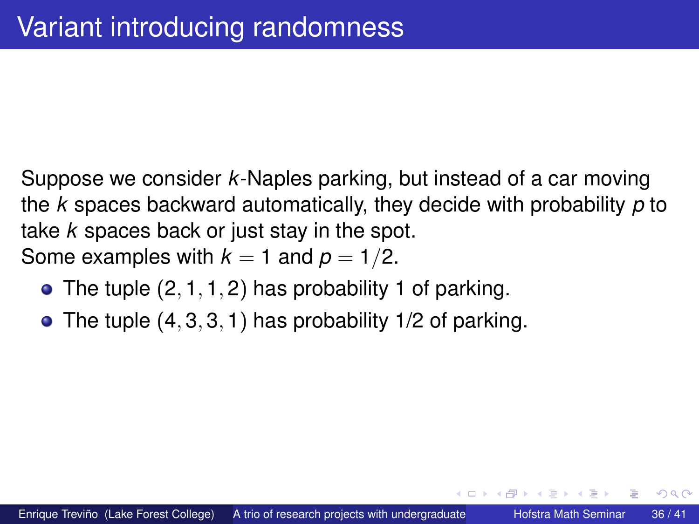<span id="page-35-0"></span>Suppose we consider *k*-Naples parking, but instead of a car moving the *k* spaces backward automatically, they decide with probability *p* to take *k* spaces back or just stay in the spot. Some examples with  $k = 1$  and  $p = 1/2$ .

- $\bullet$  The tuple (2, 1, 1, 2) has probability 1 of parking.
- $\bullet$  The tuple  $(4, 3, 3, 1)$  has probability 1/2 of parking.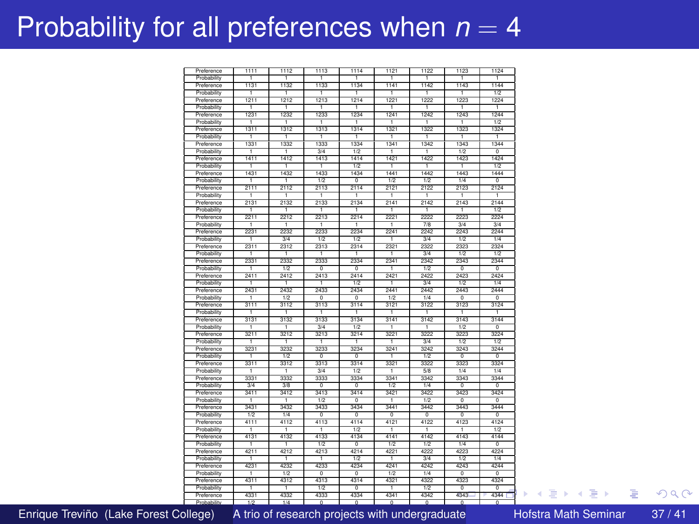## <span id="page-36-0"></span>Probability for all preferences when  $n = 4$

| Preference  | 1111 | 1112             | 1113             | 1114                      | 1121             | 1122             | 1123             | 1124                      |
|-------------|------|------------------|------------------|---------------------------|------------------|------------------|------------------|---------------------------|
| Probability | Ŧ    | Ŧ                | Ŧ                | Ŧ                         | ٦                | Ŧ                | Ŧ                | Ŧ                         |
| Preference  | 1131 | 1132             | 1133             | 1134                      | 1141             | 1142             | 1143             | 1144                      |
| Probability | ī    | ī                | Ŧ                | ī                         | ī                | Ŧ                | Ŧ                | 1/2                       |
| Preference  | 1211 | 1212             | 1213             | 1214                      | 1221             | 1222             | 1223             | 1224                      |
| Probability | ٠    | ī                | т                | ٠                         | ī                | Ŧ                | ٦                | ī                         |
| Preference  | 1231 | 1232             | 1233             | 1234                      | 1241             | 1242             | 1243             | 1244                      |
| Probability | Ŧ    | Ŧ                | Ŧ                | Ŧ                         | ٦                | Ŧ                | Ŧ                | $\overline{1/2}$          |
| Preference  | 1311 | 1312             | 1313             | 1314                      | 1321             | 1322             | 1323             | 1324                      |
| Probability | ī    | ī                | 7                | ī                         | ī                | Ŧ                | Ŧ                | ī                         |
|             |      |                  |                  |                           |                  |                  |                  |                           |
| Preference  | 1331 | 1332             | 1333             | 1334                      | 1341             | 1342             | 1343             | 1344                      |
| Probability | ī    | ī                | 3/4              | 1/2                       | ٦                | Ŧ                | 1/2              | ō                         |
| Preference  | 1411 | 1412             | 1413             | 1414                      | 1421             | 1422             | 1423             | 1424                      |
| Probability | ī    | ī                | ī                | 1/2                       | ī                | ī                | Ŧ                | 1/2                       |
| Preference  | 1431 | 1432             | 1433             | 1434                      | 1441             | 1442             | 1443             | 1444                      |
| Probability | ī    | ī                | $\overline{1/2}$ | $\overline{0}$            | $\overline{1/2}$ | $\overline{1/2}$ | 1/4              | 7                         |
| Preference  | 2111 | 2112             | 2113             | 2114                      | 2121             | 2122             | 2123             | 2124                      |
| Probability | ī    | ī                | ī                | ī                         | т                | Ŧ                | Ŧ                | ī                         |
| Preference  | 2131 | 2132             | 2133             | 2134                      | 2141             | 2142             | 2143             | 2144                      |
| Probability | ī    | ī                | ī                |                           | ī                | ī                | ī                | 1/2                       |
| Preference  | 2211 | 2212             | 2213             | 2214                      | 2221             | 2222             | 2223             | 2224                      |
| Probability | ī    | ī                | Ŧ                | ī                         | T                | 7/8              | 3/4              | 3/4                       |
| Preference  | 2231 | 2232             | 2233             | 2234                      | 2241             | 2242             | 2243             | 2244                      |
| Probability | Ŧ    | 2/4              | $\overline{1/2}$ | 1/2                       | ī                | 2/4              | $\overline{1/2}$ | T/d                       |
| Preference  | 2311 | 2312             | 2313             | 2314                      | 2321             | 2322             | 2323             | 2324                      |
| Probability |      | ī                | ī                | ī                         | ī                | 24               | 1/2              | 1/2                       |
| Preference  | 2331 | 2332             | 2333             | 2334                      | 2341             | 2342             | 2343             | 2344                      |
| Probability |      |                  |                  | ñ                         |                  |                  | $\overline{0}$   | ñ                         |
|             | ī    | 1/2              | $\overline{0}$   |                           | ī                | 1/2              |                  |                           |
| Preference  | 2411 | 2412             | 2413             | 2414                      | 2421             | 2422             | 2423             | 2424                      |
| Probability | Ŧ    | ī                | ī                | $\overline{1/2}$          | ī                | 3/4              | $\overline{1/2}$ | 1/4                       |
| Preference  | 2431 | 2432             | 2433             | 2434                      | 2441             | 2442             | 2443             | 2444                      |
| Probability | ī    | $\overline{1/2}$ | ō                | $\overline{\mathfrak{o}}$ | $\overline{1/2}$ | 1/4              | ō                | $\overline{\mathfrak{o}}$ |
| Preference  | 3111 | 3112             | 3113             | 3114                      | 3121             | 3122             | 3123             | 3124                      |
| Probability | ī    | ī                | ī                | Ŧ                         | Ŧ                | ī                | ī                | Ŧ                         |
| Preference  | 3131 | 3132             | 3133             | 3134                      | 3141             | 3142             | 3143             | 3144                      |
| Probability | ī    | T                | 3/4              | 1/2                       | T                | Ŧ                | 1/2              | $\overline{0}$            |
| Preference  | 3211 | 3212             | 3213             | 3214                      | 3221             | 3222             | 3223             | 3224                      |
| Probability | ī    | ī                | ī                | ī                         | T                | 2/4              | $\overline{1/2}$ | $\overline{1/2}$          |
| Preference  | 3231 | 3232             | 3233             | 3234                      | 3241             | 3242             | 3243             | 3244                      |
| Probability | ī    | 1/2              | ō                | o                         | ٦                | 1/2              | o                | o                         |
| Preference  | 3311 | 3312             | 3313             | 3314                      | 3321             | 3322             | 3323             | 3324                      |
| Probability | ٦    | т                | 3/4              | 1/2                       | т                | 58               | 1/4              | 1/4                       |
| Preference  | 3331 | 3332             | 3333             | 3334                      | 3341             | 3342             | 3343             | 3344                      |
| Probability | 3/4  | 3/8              | ō                | $\overline{\circ}$        | $\overline{1/2}$ | 1/4              | $\overline{0}$   | $\overline{0}$            |
| Preference  | 3411 | 3412             | 3413             | 3414                      | 3421             | 3422             | 3423             | 3424                      |
| Probability | Ŧ    | Ŧ                | $\overline{1/2}$ | 7                         | Ŧ                | $\overline{1/2}$ | ᅲ                | 7                         |
| Preference  | 3431 | 3432             | 3433             | 3434                      | 3441             | 3442             | 3443             | 3444                      |
| Probability | 1/2  | 1/4              | ñ                | ñ                         | 'n               | ñ                | n                | ñ                         |
| Preference  | 4111 | 4112             | 4113             | 4114                      | 4121             | 4122             | 4123             | 4124                      |
|             |      |                  |                  |                           |                  |                  |                  |                           |
| Probability | ī    | ī                | ī                | 1/2                       | ī                | ٦                | ٦                | 1/2                       |
| Preference  | 4131 | 4132             | 4133             | 4134                      | 4141             | 4142             | 4143             | 4144                      |
| Probability | Ŧ    | ī                | $\overline{1/2}$ | $\overline{\mathfrak{o}}$ | $\overline{1/2}$ | $\overline{1/2}$ | 1/4              | ō                         |
| Preference  | 4211 | 4212             | 4213             | 4214                      | 4221             | 4222             | 4223             | 4224                      |
| Probability | Ŧ    | ī                | Ŧ                | $\overline{1/2}$          | Ŧ                | 24               | 1/2              | 1/4                       |
| Preference  | 4231 | 4232             | 4233             | 4234                      | 4241             | 4242             | 4243             | 4244                      |
| Probability | Ŧ    | 1/2              | ō                | ō                         | 1/2              | 1/4              | o                | ō                         |
| Preference  | 4311 | 4312             | 4313             | 4314                      | 4321             | 4322             | 4323             | 4324                      |
| Probability | ī    | ī                | 1/2              | 7                         | 7                | 1/2              | $\overline{0}$   | ក                         |
| Preference  | 4331 | 4332             | 4333             | 4334                      | 4341             | 4342             | 43.43            | 4344                      |
|             |      |                  |                  |                           |                  |                  |                  |                           |

<u>Probability 1/2 1/4 1 0 1 0 1 0 1 0 1 0 1 0</u>

Enrique Treviño (Lake Forest College) A trio of research projects with undergraduate Hofstra Math Seminar 37/41

Þ

 $299$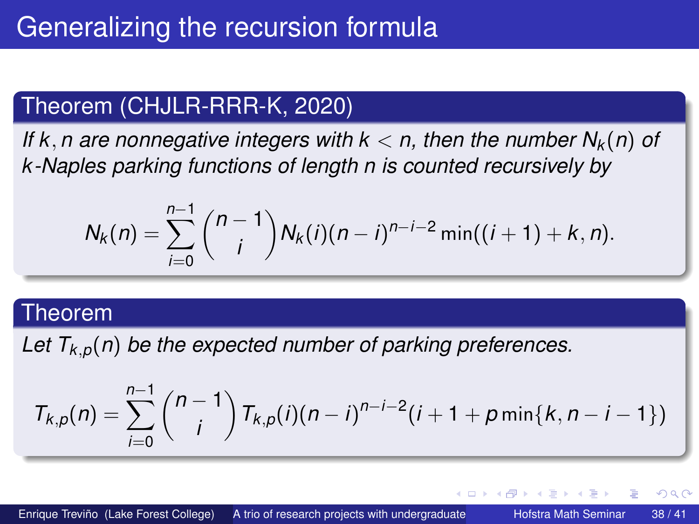### <span id="page-37-0"></span>Theorem (CHJLR-RRR-K, 2020)

*If* k, *n* are nonnegative integers with  $k < n$ , then the number  $N_k(n)$  of *k -Naples parking functions of length n is counted recursively by*

$$
N_k(n) = \sum_{i=0}^{n-1} {n-1 \choose i} N_k(i)(n-i)^{n-i-2} \min((i+1)+k, n).
$$

#### Theorem

Let  $T_{k,p}(n)$  be the expected number of parking preferences.

$$
T_{k,p}(n) = \sum_{i=0}^{n-1} {n-1 \choose i} T_{k,p}(i)(n-i)^{n-i-2}(i+1+p\min\{k,n-i-1\})
$$

4 ロ ト ィ *同* ト

. . . . . .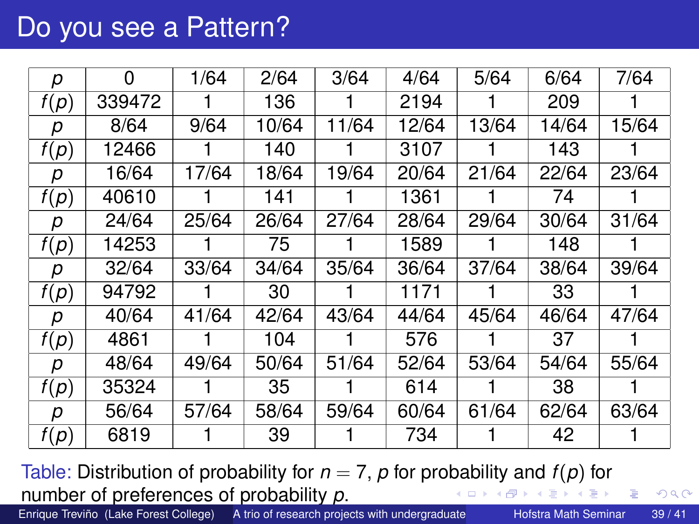### Do you see a Pattern?

| р    | 0      | 1/64  | 2/64  | 3/64  | 4/64  | 5/64  | 6/64  | 7/64  |
|------|--------|-------|-------|-------|-------|-------|-------|-------|
| f(p) | 339472 |       | 136   |       | 2194  |       | 209   |       |
| р    | 8/64   | 9/64  | 10/64 | 11/64 | 12/64 | 13/64 | 14/64 | 15/64 |
| f(p) | 12466  |       | 140   |       | 3107  |       | 143   |       |
| р    | 16/64  | 17/64 | 18/64 | 19/64 | 20/64 | 21/64 | 22/64 | 23/64 |
| f(p) | 40610  |       | 141   |       | 1361  |       | 74    |       |
| р    | 24/64  | 25/64 | 26/64 | 27/64 | 28/64 | 29/64 | 30/64 | 31/64 |
| f(p) | 14253  |       | 75    |       | 1589  |       | 148   |       |
| р    | 32/64  | 33/64 | 34/64 | 35/64 | 36/64 | 37/64 | 38/64 | 39/64 |
| f(p) | 94792  |       | 30    |       | 1171  |       | 33    |       |
| р    | 40/64  | 41/64 | 42/64 | 43/64 | 44/64 | 45/64 | 46/64 | 47/64 |
| f(p) | 4861   |       | 104   |       | 576   |       | 37    |       |
| р    | 48/64  | 49/64 | 50/64 | 51/64 | 52/64 | 53/64 | 54/64 | 55/64 |
| f(p) | 35324  |       | 35    |       | 614   |       | 38    |       |
| р    | 56/64  | 57/64 | 58/64 | 59/64 | 60/64 | 61/64 | 62/64 | 63/64 |
| f(p) | 6819   |       | 39    |       | 734   |       | 42    |       |

Table: Distribution of probability for  $n = 7$ ,  $p$  for probability and  $f(p)$  for number of preferences of probability *p*. イロト 不優 トイ磨 トイ磨 トー

Enrique Treviño (Lake Forest College) A trio of research projects with undergraduate Hofstra Math Seminar 39/41

 $\equiv$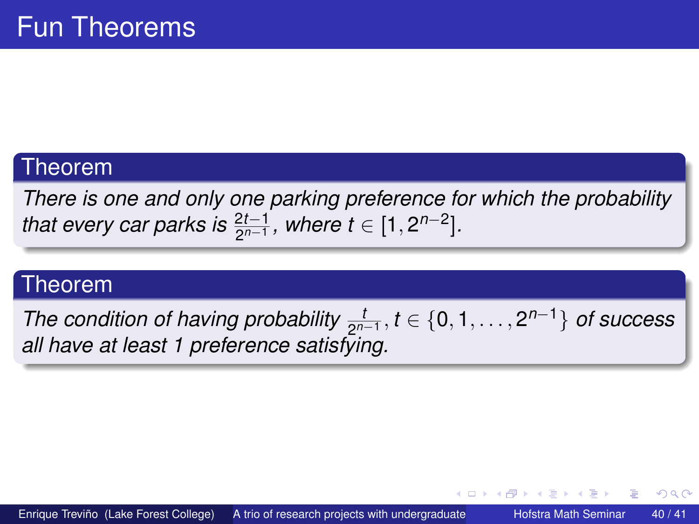#### Theorem

*There is one and only one parking preference for which the probability that every car parks is*  $\frac{2t-1}{2^{n-1}}$ *, where t* ∈ [1,2<sup>*n*-2</sup>].

#### Theorem

*The condition of having probability*  $\frac{t}{2^{n-1}}$ ,  $t \in \{0, 1, \ldots, 2^{n-1}\}$  *of success all have at least 1 preference satisfying.*

4 ロ ト ィ *同* ト

化重氮化重氮化